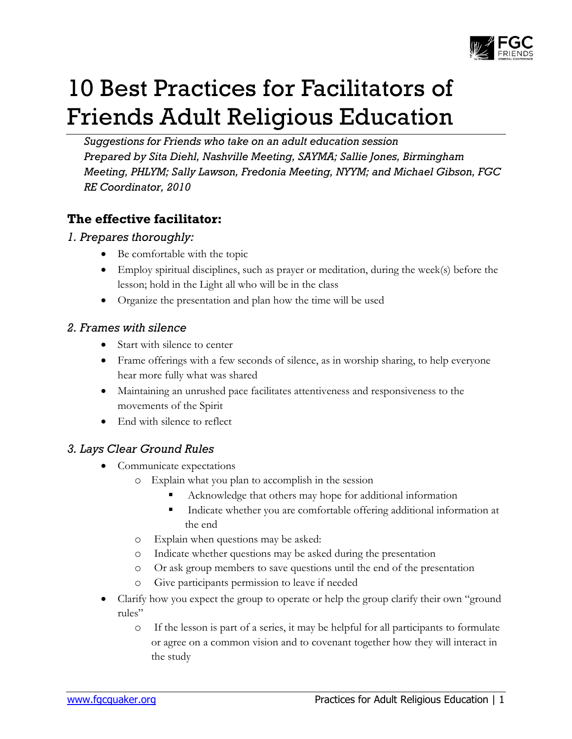

# 10 Best Practices for Facilitators of Friends Adult Religious Education

*Suggestions for Friends who take on an adult education session Prepared by Sita Diehl, Nashville Meeting, SAYMA; Sallie Jones, Birmingham Meeting, PHLYM; Sally Lawson, Fredonia Meeting, NYYM; and Michael Gibson, FGC RE Coordinator, 2010* 

# **The effective facilitator:**

# *1. Prepares thoroughly:*

- Be comfortable with the topic
- Employ spiritual disciplines, such as prayer or meditation, during the week(s) before the lesson; hold in the Light all who will be in the class
- Organize the presentation and plan how the time will be used

### *2. Frames with silence*

- Start with silence to center
- Frame offerings with a few seconds of silence, as in worship sharing, to help everyone hear more fully what was shared
- Maintaining an unrushed pace facilitates attentiveness and responsiveness to the movements of the Spirit
- End with silence to reflect

# *3. Lays Clear Ground Rules*

- Communicate expectations
	- o Explain what you plan to accomplish in the session
		- Acknowledge that others may hope for additional information
		- Indicate whether you are comfortable offering additional information at the end
	- o Explain when questions may be asked:
	- o Indicate whether questions may be asked during the presentation
	- o Or ask group members to save questions until the end of the presentation
	- o Give participants permission to leave if needed
- Clarify how you expect the group to operate or help the group clarify their own "ground rules"
	- o If the lesson is part of a series, it may be helpful for all participants to formulate or agree on a common vision and to covenant together how they will interact in the study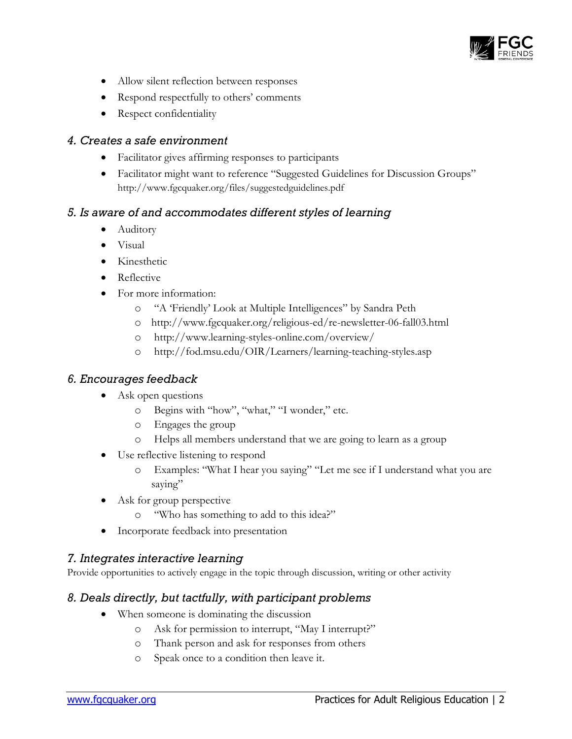

- Allow silent reflection between responses
- Respond respectfully to others' comments
- Respect confidentiality

#### *4. Creates a safe environment*

- Facilitator gives affirming responses to participants
- Facilitator might want to reference "Suggested Guidelines for Discussion Groups" http://www.fgcquaker.org/files/suggestedguidelines.pdf

#### *5. Is aware of and accommodates different styles of learning*

- Auditory
- Visual
- Kinesthetic
- Reflective
- For more information:
	- o "A 'Friendly' Look at Multiple Intelligences" by Sandra Peth
	- o http://www.fgcquaker.org/religious-ed/re-newsletter-06-fall03.html
	- o http://www.learning-styles-online.com/overview/
	- o http://fod.msu.edu/OIR/Learners/learning-teaching-styles.asp

#### *6. Encourages feedback*

- Ask open questions
	- o Begins with "how", "what," "I wonder," etc.
	- o Engages the group
	- o Helps all members understand that we are going to learn as a group
- Use reflective listening to respond
	- o Examples: "What I hear you saying" "Let me see if I understand what you are saying"
- Ask for group perspective
	- o "Who has something to add to this idea?"
- Incorporate feedback into presentation

#### *7. Integrates interactive learning*

Provide opportunities to actively engage in the topic through discussion, writing or other activity

#### *8. Deals directly, but tactfully, with participant problems*

- When someone is dominating the discussion
	- o Ask for permission to interrupt, "May I interrupt?"
	- o Thank person and ask for responses from others
	- o Speak once to a condition then leave it.